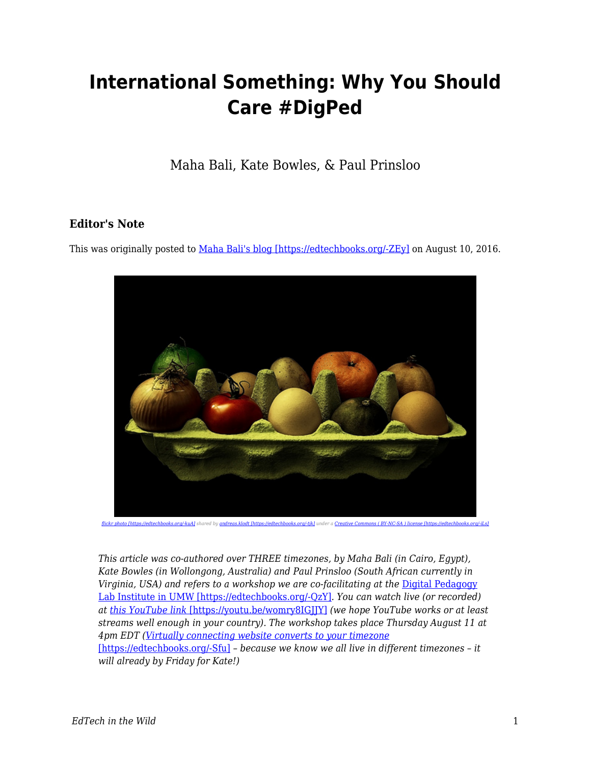## **International Something: Why You Should Care #DigPed**

Maha Bali, Kate Bowles, & Paul Prinsloo

## **Editor's Note**

This was originally posted to [Maha Bali's blog \[https://edtechbooks.org/-ZEy\]](http://mahabali.me/edcontexts/contexts-matter/international-something-why-you-should-care-digped/) on August 10, 2016.



*[flickr photo \[https://edtechbooks.org/-kuA\]](https://flickr.com/photos/andreas_klodt/16009063987) shared by [andreas.klodt \[https://edtechbooks.org/-tjk\]](https://flickr.com/people/andreas_klodt) under a [Creative Commons \( BY-NC-SA \) license \[https://edtechbooks.org/-iLs\]](https://creativecommons.org/licenses/by-nc-sa/2.0/)*

*This article was co-authored over THREE timezones, by Maha Bali (in Cairo, Egypt), Kate Bowles (in Wollongong, Australia) and Paul Prinsloo (South African currently in* Virginia, USA) and refers to a workshop we are co-facilitating at the **[Digital Pedagogy](http://digitalpedagogylab.com/institute)** [Lab Institute in UMW \[https://edtechbooks.org/-QzY\]](http://digitalpedagogylab.com/institute)*. You can watch live (or recorded) at [this YouTube link](https://youtu.be/womry8IGJJY)* [\[https://youtu.be/womry8IGJJY\]](https://youtu.be/womry8IGJJY) *(we hope YouTube works or at least streams well enough in your country). The workshop takes place Thursday August 11 at 4pm EDT [\(Virtually connecting website converts to your timezone](http://virtuallyconnecting.org/announcements/we-are-vconnecting-from-digpedlab-umw-digped/)* [\[https://edtechbooks.org/-Sfu\]](http://virtuallyconnecting.org/announcements/we-are-vconnecting-from-digpedlab-umw-digped/) *– because we know we all live in different timezones – it will already by Friday for Kate!)*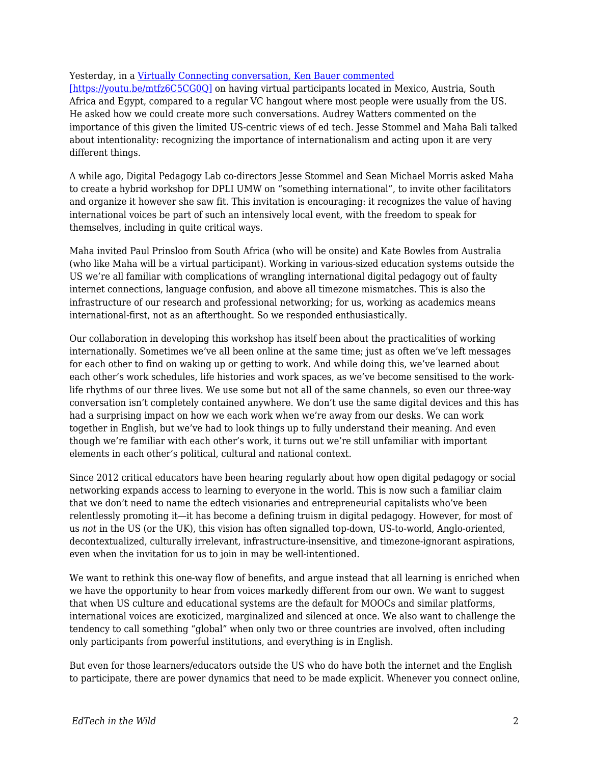## Yesterday, in a [Virtually Connecting conversation, Ken Bauer commented](https://youtu.be/mtfz6C5CG0Q)

[\[https://youtu.be/mtfz6C5CG0Q\]](https://youtu.be/mtfz6C5CG0Q) on having virtual participants located in Mexico, Austria, South Africa and Egypt, compared to a regular VC hangout where most people were usually from the US. He asked how we could create more such conversations. Audrey Watters commented on the importance of this given the limited US-centric views of ed tech. Jesse Stommel and Maha Bali talked about intentionality: recognizing the importance of internationalism and acting upon it are very different things.

A while ago, Digital Pedagogy Lab co-directors Jesse Stommel and Sean Michael Morris asked Maha to create a hybrid workshop for DPLI UMW on "something international", to invite other facilitators and organize it however she saw fit. This invitation is encouraging: it recognizes the value of having international voices be part of such an intensively local event, with the freedom to speak for themselves, including in quite critical ways.

Maha invited Paul Prinsloo from South Africa (who will be onsite) and Kate Bowles from Australia (who like Maha will be a virtual participant). Working in various-sized education systems outside the US we're all familiar with complications of wrangling international digital pedagogy out of faulty internet connections, language confusion, and above all timezone mismatches. This is also the infrastructure of our research and professional networking; for us, working as academics means international-first, not as an afterthought. So we responded enthusiastically.

Our collaboration in developing this workshop has itself been about the practicalities of working internationally. Sometimes we've all been online at the same time; just as often we've left messages for each other to find on waking up or getting to work. And while doing this, we've learned about each other's work schedules, life histories and work spaces, as we've become sensitised to the worklife rhythms of our three lives. We use some but not all of the same channels, so even our three-way conversation isn't completely contained anywhere. We don't use the same digital devices and this has had a surprising impact on how we each work when we're away from our desks. We can work together in English, but we've had to look things up to fully understand their meaning. And even though we're familiar with each other's work, it turns out we're still unfamiliar with important elements in each other's political, cultural and national context.

Since 2012 critical educators have been hearing regularly about how open digital pedagogy or social networking expands access to learning to everyone in the world. This is now such a familiar claim that we don't need to name the edtech visionaries and entrepreneurial capitalists who've been relentlessly promoting it—it has become a defining truism in digital pedagogy. However, for most of us *not* in the US (or the UK), this vision has often signalled top-down, US-to-world, Anglo-oriented, decontextualized, culturally irrelevant, infrastructure-insensitive, and timezone-ignorant aspirations, even when the invitation for us to join in may be well-intentioned.

We want to rethink this one-way flow of benefits, and argue instead that all learning is enriched when we have the opportunity to hear from voices markedly different from our own. We want to suggest that when US culture and educational systems are the default for MOOCs and similar platforms, international voices are exoticized, marginalized and silenced at once. We also want to challenge the tendency to call something "global" when only two or three countries are involved, often including only participants from powerful institutions, and everything is in English.

But even for those learners/educators outside the US who do have both the internet and the English to participate, there are power dynamics that need to be made explicit. Whenever you connect online,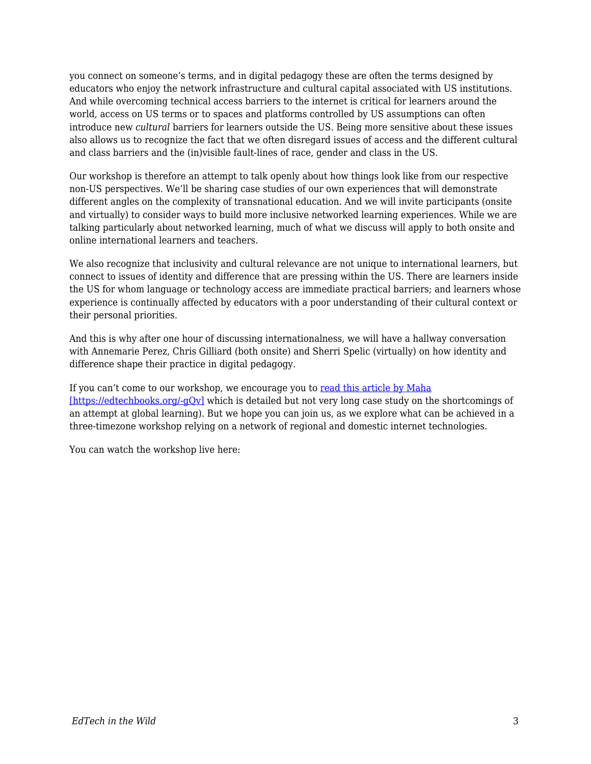you connect on someone's terms, and in digital pedagogy these are often the terms designed by educators who enjoy the network infrastructure and cultural capital associated with US institutions. And while overcoming technical access barriers to the internet is critical for learners around the world, access on US terms or to spaces and platforms controlled by US assumptions can often introduce new *cultural* barriers for learners outside the US. Being more sensitive about these issues also allows us to recognize the fact that we often disregard issues of access and the different cultural and class barriers and the (in)visible fault-lines of race, gender and class in the US.

Our workshop is therefore an attempt to talk openly about how things look like from our respective non-US perspectives. We'll be sharing case studies of our own experiences that will demonstrate different angles on the complexity of transnational education. And we will invite participants (onsite and virtually) to consider ways to build more inclusive networked learning experiences. While we are talking particularly about networked learning, much of what we discuss will apply to both onsite and online international learners and teachers.

We also recognize that inclusivity and cultural relevance are not unique to international learners, but connect to issues of identity and difference that are pressing within the US. There are learners inside the US for whom language or technology access are immediate practical barriers; and learners whose experience is continually affected by educators with a poor understanding of their cultural context or their personal priorities.

And this is why after one hour of discussing internationalness, we will have a hallway conversation with Annemarie Perez, Chris Gilliard (both onsite) and Sherri Spelic (virtually) on how identity and difference shape their practice in digital pedagogy.

If you can't come to our workshop, we encourage you to [read this article by Maha](http://dar.aucegypt.edu/bitstream/handle/10526/4363/Final%20Maha%20Bali%20TiHE-PoD-Empowering_Sept30-13.pdf?sequence=1) [https://edtechbooks.org/-gOv] which is detailed but not very long case study on the shortcomings of an attempt at global learning). But we hope you can join us, as we explore what can be achieved in a three-timezone workshop relying on a network of regional and domestic internet technologies.

You can watch the workshop live here: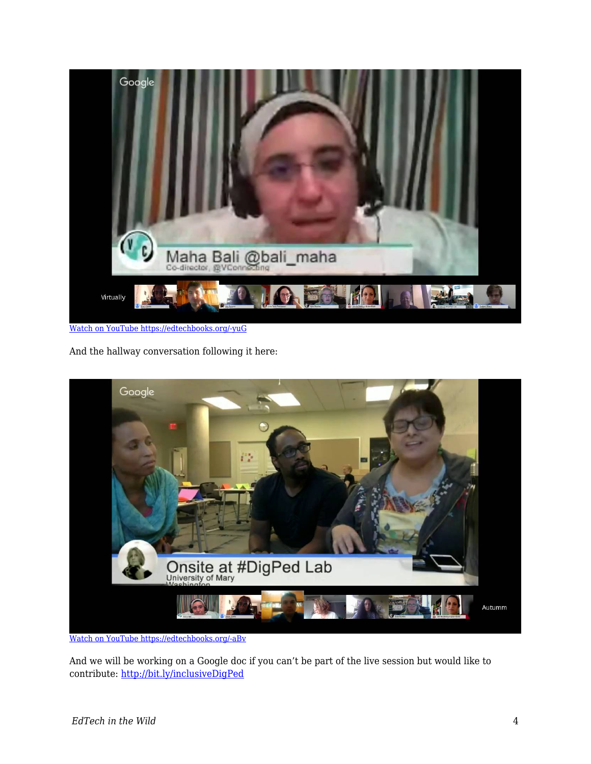

[Watch on YouTube https://edtechbooks.org/-yuG](https://www.youtube.com/embed/womry8IGJJY?autoplay=1&rel=0&showinfo=0&modestbranding=1)

And the hallway conversation following it here:



[Watch on YouTube https://edtechbooks.org/-aBv](https://www.youtube.com/embed/_e_vkOSHTjQ?autoplay=1&rel=0&showinfo=0&modestbranding=1)

And we will be working on a Google doc if you can't be part of the live session but would like to contribute:<http://bit.ly/inclusiveDigPed>